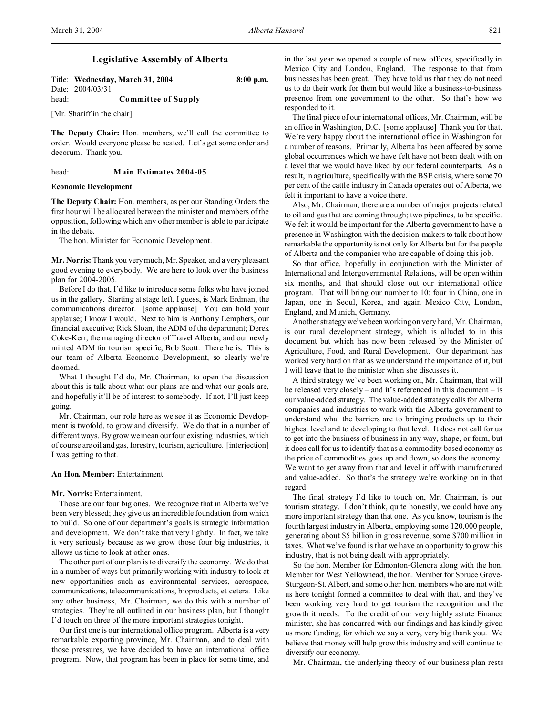# **Legislative Assembly of Alberta**

|       | Title: Wednesday, March 31, 2004 | $8:00$ p.m. |
|-------|----------------------------------|-------------|
|       | Date: 2004/03/31                 |             |
| head: | <b>Committee of Supply</b>       |             |

[Mr. Shariff in the chair]

**The Deputy Chair:** Hon. members, we'll call the committee to order. Would everyone please be seated. Let's get some order and decorum. Thank you.

#### head: **Main Estimates 2004-05**

# **Economic Development**

**The Deputy Chair:** Hon. members, as per our Standing Orders the first hour will be allocated between the minister and members of the opposition, following which any other member is able to participate in the debate.

The hon. Minister for Economic Development.

**Mr. Norris:** Thank you very much, Mr. Speaker, and a very pleasant good evening to everybody. We are here to look over the business plan for 2004-2005.

Before I do that, I'd like to introduce some folks who have joined us in the gallery. Starting at stage left, I guess, is Mark Erdman, the communications director. [some applause] You can hold your applause; I know I would. Next to him is Anthony Lemphers, our financial executive; Rick Sloan, the ADM of the department; Derek Coke-Kerr, the managing director of Travel Alberta; and our newly minted ADM for tourism specific, Bob Scott. There he is. This is our team of Alberta Economic Development, so clearly we're doomed.

What I thought I'd do, Mr. Chairman, to open the discussion about this is talk about what our plans are and what our goals are, and hopefully it'll be of interest to somebody. If not, I'll just keep going.

Mr. Chairman, our role here as we see it as Economic Development is twofold, to grow and diversify. We do that in a number of different ways. By grow we mean our four existing industries, which of course are oil and gas, forestry, tourism, agriculture. [interjection] I was getting to that.

### **An Hon. Member:** Entertainment.

### **Mr. Norris:** Entertainment.

Those are our four big ones. We recognize that in Alberta we've been very blessed; they give us an incredible foundation from which to build. So one of our department's goals is strategic information and development. We don't take that very lightly. In fact, we take it very seriously because as we grow those four big industries, it allows us time to look at other ones.

The other part of our plan is to diversify the economy. We do that in a number of ways but primarily working with industry to look at new opportunities such as environmental services, aerospace, communications, telecommunications, bioproducts, et cetera. Like any other business, Mr. Chairman, we do this with a number of strategies. They're all outlined in our business plan, but I thought I'd touch on three of the more important strategies tonight.

Our first one is our international office program. Alberta is a very remarkable exporting province, Mr. Chairman, and to deal with those pressures, we have decided to have an international office program. Now, that program has been in place for some time, and in the last year we opened a couple of new offices, specifically in Mexico City and London, England. The response to that from businesses has been great. They have told us that they do not need us to do their work for them but would like a business-to-business presence from one government to the other. So that's how we responded to it.

The final piece of our international offices, Mr. Chairman, will be an office in Washington, D.C. [some applause] Thank you for that. We're very happy about the international office in Washington for a number of reasons. Primarily, Alberta has been affected by some global occurrences which we have felt have not been dealt with on a level that we would have liked by our federal counterparts. As a result, in agriculture, specifically with the BSE crisis, where some 70 per cent of the cattle industry in Canada operates out of Alberta, we felt it important to have a voice there.

Also, Mr. Chairman, there are a number of major projects related to oil and gas that are coming through; two pipelines, to be specific. We felt it would be important for the Alberta government to have a presence in Washington with the decision-makers to talk about how remarkable the opportunity is not only for Alberta but for the people of Alberta and the companies who are capable of doing this job.

So that office, hopefully in conjunction with the Minister of International and Intergovernmental Relations, will be open within six months, and that should close out our international office program. That will bring our number to 10: four in China, one in Japan, one in Seoul, Korea, and again Mexico City, London, England, and Munich, Germany.

Another strategy we've been working on very hard, Mr. Chairman, is our rural development strategy, which is alluded to in this document but which has now been released by the Minister of Agriculture, Food, and Rural Development. Our department has worked very hard on that as we understand the importance of it, but I will leave that to the minister when she discusses it.

A third strategy we've been working on, Mr. Chairman, that will be released very closely – and it's referenced in this document – is our value-added strategy. The value-added strategy calls for Alberta companies and industries to work with the Alberta government to understand what the barriers are to bringing products up to their highest level and to developing to that level. It does not call for us to get into the business of business in any way, shape, or form, but it does call for us to identify that as a commodity-based economy as the price of commodities goes up and down, so does the economy. We want to get away from that and level it off with manufactured and value-added. So that's the strategy we're working on in that regard.

The final strategy I'd like to touch on, Mr. Chairman, is our tourism strategy. I don't think, quite honestly, we could have any more important strategy than that one. As you know, tourism is the fourth largest industry in Alberta, employing some 120,000 people, generating about \$5 billion in gross revenue, some \$700 million in taxes. What we've found is that we have an opportunity to grow this industry, that is not being dealt with appropriately.

So the hon. Member for Edmonton-Glenora along with the hon. Member for West Yellowhead, the hon. Member for Spruce Grove-Sturgeon-St. Albert, and some other hon. members who are not with us here tonight formed a committee to deal with that, and they've been working very hard to get tourism the recognition and the growth it needs. To the credit of our very highly astute Finance minister, she has concurred with our findings and has kindly given us more funding, for which we say a very, very big thank you. We believe that money will help grow this industry and will continue to diversify our economy.

Mr. Chairman, the underlying theory of our business plan rests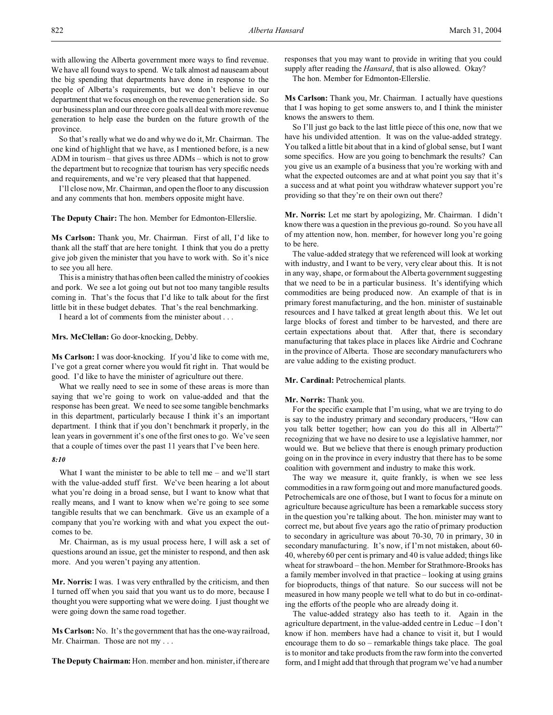with allowing the Alberta government more ways to find revenue. We have all found ways to spend. We talk almost ad nauseam about the big spending that departments have done in response to the people of Alberta's requirements, but we don't believe in our department that we focus enough on the revenue generation side. So our business plan and our three core goals all deal with more revenue generation to help ease the burden on the future growth of the province.

So that's really what we do and why we do it, Mr. Chairman. The one kind of highlight that we have, as I mentioned before, is a new ADM in tourism – that gives us three ADMs – which is not to grow the department but to recognize that tourism has very specific needs and requirements, and we're very pleased that that happened.

I'll close now, Mr. Chairman, and open the floor to any discussion and any comments that hon. members opposite might have.

**The Deputy Chair:** The hon. Member for Edmonton-Ellerslie.

**Ms Carlson:** Thank you, Mr. Chairman. First of all, I'd like to thank all the staff that are here tonight. I think that you do a pretty give job given the minister that you have to work with. So it's nice to see you all here.

This is a ministry that has often been called the ministry of cookies and pork. We see a lot going out but not too many tangible results coming in. That's the focus that I'd like to talk about for the first little bit in these budget debates. That's the real benchmarking.

I heard a lot of comments from the minister about . . .

**Mrs. McClellan:** Go door-knocking, Debby.

**Ms Carlson:** I was door-knocking. If you'd like to come with me, I've got a great corner where you would fit right in. That would be good. I'd like to have the minister of agriculture out there.

What we really need to see in some of these areas is more than saying that we're going to work on value-added and that the response has been great. We need to see some tangible benchmarks in this department, particularly because I think it's an important department. I think that if you don't benchmark it properly, in the lean years in government it's one of the first ones to go. We've seen that a couple of times over the past 11 years that I've been here.

### *8:10*

What I want the minister to be able to tell me – and we'll start with the value-added stuff first. We've been hearing a lot about what you're doing in a broad sense, but I want to know what that really means, and I want to know when we're going to see some tangible results that we can benchmark. Give us an example of a company that you're working with and what you expect the outcomes to be.

Mr. Chairman, as is my usual process here, I will ask a set of questions around an issue, get the minister to respond, and then ask more. And you weren't paying any attention.

**Mr. Norris:** I was. I was very enthralled by the criticism, and then I turned off when you said that you want us to do more, because I thought you were supporting what we were doing. I just thought we were going down the same road together.

**Ms Carlson:** No. It's the government that has the one-way railroad, Mr. Chairman. Those are not my . . .

**The Deputy Chairman:** Hon. member and hon. minister, if there are

responses that you may want to provide in writing that you could supply after reading the *Hansard*, that is also allowed. Okay? The hon. Member for Edmonton-Ellerslie.

**Ms Carlson:** Thank you, Mr. Chairman. I actually have questions that I was hoping to get some answers to, and I think the minister knows the answers to them.

So I'll just go back to the last little piece of this one, now that we have his undivided attention. It was on the value-added strategy. You talked a little bit about that in a kind of global sense, but I want some specifics. How are you going to benchmark the results? Can you give us an example of a business that you're working with and what the expected outcomes are and at what point you say that it's a success and at what point you withdraw whatever support you're providing so that they're on their own out there?

**Mr. Norris:** Let me start by apologizing, Mr. Chairman. I didn't know there was a question in the previous go-round. So you have all of my attention now, hon. member, for however long you're going to be here.

The value-added strategy that we referenced will look at working with industry, and I want to be very, very clear about this. It is not in any way, shape, or form about the Alberta government suggesting that we need to be in a particular business. It's identifying which commodities are being produced now. An example of that is in primary forest manufacturing, and the hon. minister of sustainable resources and I have talked at great length about this. We let out large blocks of forest and timber to be harvested, and there are certain expectations about that. After that, there is secondary manufacturing that takes place in places like Airdrie and Cochrane in the province of Alberta. Those are secondary manufacturers who are value adding to the existing product.

### **Mr. Cardinal:** Petrochemical plants.

#### **Mr. Norris:** Thank you.

For the specific example that I'm using, what we are trying to do is say to the industry primary and secondary producers, "How can you talk better together; how can you do this all in Alberta?" recognizing that we have no desire to use a legislative hammer, nor would we. But we believe that there is enough primary production going on in the province in every industry that there has to be some coalition with government and industry to make this work.

The way we measure it, quite frankly, is when we see less commodities in a raw form going out and more manufactured goods. Petrochemicals are one of those, but I want to focus for a minute on agriculture because agriculture has been a remarkable success story in the question you're talking about. The hon. minister may want to correct me, but about five years ago the ratio of primary production to secondary in agriculture was about 70-30, 70 in primary, 30 in secondary manufacturing. It's now, if I'm not mistaken, about 60- 40, whereby 60 per cent is primary and 40 is value added; things like wheat for strawboard – the hon. Member for Strathmore-Brooks has a family member involved in that practice – looking at using grains for bioproducts, things of that nature. So our success will not be measured in how many people we tell what to do but in co-ordinating the efforts of the people who are already doing it.

The value-added strategy also has teeth to it. Again in the agriculture department, in the value-added centre in Leduc – I don't know if hon. members have had a chance to visit it, but I would encourage them to do so – remarkable things take place. The goal is to monitor and take products from the raw form into the converted form, and I might add that through that program we've had a number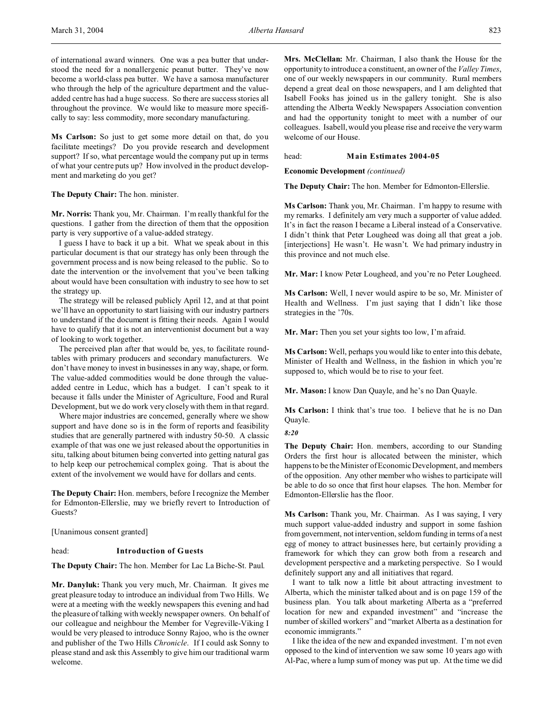of international award winners. One was a pea butter that understood the need for a nonallergenic peanut butter. They've now become a world-class pea butter. We have a samosa manufacturer who through the help of the agriculture department and the valueadded centre has had a huge success. So there are success stories all throughout the province. We would like to measure more specifically to say: less commodity, more secondary manufacturing.

**Ms Carlson:** So just to get some more detail on that, do you facilitate meetings? Do you provide research and development support? If so, what percentage would the company put up in terms of what your centre puts up? How involved in the product development and marketing do you get?

## **The Deputy Chair:** The hon. minister.

**Mr. Norris:** Thank you, Mr. Chairman. I'm really thankful for the questions. I gather from the direction of them that the opposition party is very supportive of a value-added strategy.

I guess I have to back it up a bit. What we speak about in this particular document is that our strategy has only been through the government process and is now being released to the public. So to date the intervention or the involvement that you've been talking about would have been consultation with industry to see how to set the strategy up.

The strategy will be released publicly April 12, and at that point we'll have an opportunity to start liaising with our industry partners to understand if the document is fitting their needs. Again I would have to qualify that it is not an interventionist document but a way of looking to work together.

The perceived plan after that would be, yes, to facilitate roundtables with primary producers and secondary manufacturers. We don't have money to invest in businesses in any way, shape, or form. The value-added commodities would be done through the valueadded centre in Leduc, which has a budget. I can't speak to it because it falls under the Minister of Agriculture, Food and Rural Development, but we do work very closely with them in that regard.

Where major industries are concerned, generally where we show support and have done so is in the form of reports and feasibility studies that are generally partnered with industry 50-50. A classic example of that was one we just released about the opportunities in situ, talking about bitumen being converted into getting natural gas to help keep our petrochemical complex going. That is about the extent of the involvement we would have for dollars and cents.

**The Deputy Chair:** Hon. members, before I recognize the Member for Edmonton-Ellerslie, may we briefly revert to Introduction of Guests?

[Unanimous consent granted]

# head: **Introduction of Guests**

**The Deputy Chair:** The hon. Member for Lac La Biche-St. Paul.

**Mr. Danyluk:** Thank you very much, Mr. Chairman. It gives me great pleasure today to introduce an individual from Two Hills. We were at a meeting with the weekly newspapers this evening and had the pleasure of talking with weekly newspaper owners. On behalf of our colleague and neighbour the Member for Vegreville-Viking I would be very pleased to introduce Sonny Rajoo, who is the owner and publisher of the Two Hills *Chronicle*. If I could ask Sonny to please stand and ask this Assembly to give him our traditional warm welcome.

**Mrs. McClellan:** Mr. Chairman, I also thank the House for the opportunity to introduce a constituent, an owner of the *Valley Times*, one of our weekly newspapers in our community. Rural members depend a great deal on those newspapers, and I am delighted that Isabell Fooks has joined us in the gallery tonight. She is also attending the Alberta Weekly Newspapers Association convention and had the opportunity tonight to meet with a number of our colleagues. Isabell, would you please rise and receive the very warm welcome of our House.

head: **Main Estimates 2004-05**

**Economic Development** *(continued)*

**The Deputy Chair:** The hon. Member for Edmonton-Ellerslie.

**Ms Carlson:** Thank you, Mr. Chairman. I'm happy to resume with my remarks. I definitely am very much a supporter of value added. It's in fact the reason I became a Liberal instead of a Conservative. I didn't think that Peter Lougheed was doing all that great a job. [interjections] He wasn't. He wasn't. We had primary industry in this province and not much else.

**Mr. Mar:** I know Peter Lougheed, and you're no Peter Lougheed.

**Ms Carlson:** Well, I never would aspire to be so, Mr. Minister of Health and Wellness. I'm just saying that I didn't like those strategies in the '70s.

**Mr. Mar:** Then you set your sights too low, I'm afraid.

**Ms Carlson:** Well, perhaps you would like to enter into this debate, Minister of Health and Wellness, in the fashion in which you're supposed to, which would be to rise to your feet.

**Mr. Mason:** I know Dan Quayle, and he's no Dan Quayle.

**Ms Carlson:** I think that's true too. I believe that he is no Dan Quayle.

*8:20*

**The Deputy Chair:** Hon. members, according to our Standing Orders the first hour is allocated between the minister, which happens to be the Minister of Economic Development, and members of the opposition. Any other member who wishes to participate will be able to do so once that first hour elapses. The hon. Member for Edmonton-Ellerslie has the floor.

**Ms Carlson:** Thank you, Mr. Chairman. As I was saying, I very much support value-added industry and support in some fashion from government, not intervention, seldom funding in terms of a nest egg of money to attract businesses here, but certainly providing a framework for which they can grow both from a research and development perspective and a marketing perspective. So I would definitely support any and all initiatives that regard.

I want to talk now a little bit about attracting investment to Alberta, which the minister talked about and is on page 159 of the business plan. You talk about marketing Alberta as a "preferred location for new and expanded investment" and "increase the number of skilled workers" and "market Alberta as a destination for economic immigrants."

I like the idea of the new and expanded investment. I'm not even opposed to the kind of intervention we saw some 10 years ago with Al-Pac, where a lump sum of money was put up. At the time we did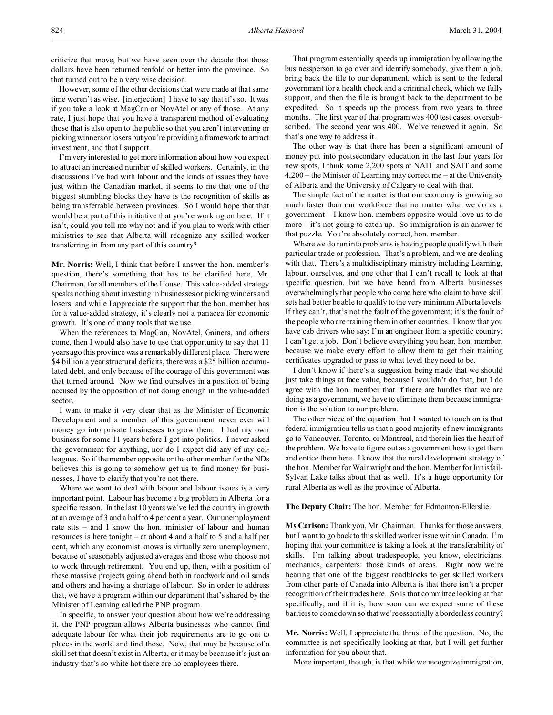criticize that move, but we have seen over the decade that those dollars have been returned tenfold or better into the province. So that turned out to be a very wise decision.

However, some of the other decisions that were made at that same time weren't as wise. [interjection] I have to say that it's so. It was if you take a look at MagCan or NovAtel or any of those. At any rate, I just hope that you have a transparent method of evaluating those that is also open to the public so that you aren't intervening or picking winners or losers but you're providing a framework to attract investment, and that I support.

I'm very interested to get more information about how you expect to attract an increased number of skilled workers. Certainly, in the discussions I've had with labour and the kinds of issues they have just within the Canadian market, it seems to me that one of the biggest stumbling blocks they have is the recognition of skills as being transferrable between provinces. So I would hope that that would be a part of this initiative that you're working on here. If it isn't, could you tell me why not and if you plan to work with other ministries to see that Alberta will recognize any skilled worker transferring in from any part of this country?

**Mr. Norris:** Well, I think that before I answer the hon. member's question, there's something that has to be clarified here, Mr. Chairman, for all members of the House. This value-added strategy speaks nothing about investing in businesses or picking winners and losers, and while I appreciate the support that the hon. member has for a value-added strategy, it's clearly not a panacea for economic growth. It's one of many tools that we use.

When the references to MagCan, NovAtel, Gainers, and others come, then I would also have to use that opportunity to say that 11 years ago this province was a remarkably different place. There were \$4 billion a year structural deficits, there was a \$25 billion accumulated debt, and only because of the courage of this government was that turned around. Now we find ourselves in a position of being accused by the opposition of not doing enough in the value-added sector.

I want to make it very clear that as the Minister of Economic Development and a member of this government never ever will money go into private businesses to grow them. I had my own business for some 11 years before I got into politics. I never asked the government for anything, nor do I expect did any of my colleagues. So if the member opposite or the other member for the NDs believes this is going to somehow get us to find money for businesses, I have to clarify that you're not there.

Where we want to deal with labour and labour issues is a very important point. Labour has become a big problem in Alberta for a specific reason. In the last 10 years we've led the country in growth at an average of 3 and a half to 4 per cent a year. Our unemployment rate sits – and I know the hon. minister of labour and human resources is here tonight – at about 4 and a half to 5 and a half per cent, which any economist knows is virtually zero unemployment, because of seasonably adjusted averages and those who choose not to work through retirement. You end up, then, with a position of these massive projects going ahead both in roadwork and oil sands and others and having a shortage of labour. So in order to address that, we have a program within our department that's shared by the Minister of Learning called the PNP program.

In specific, to answer your question about how we're addressing it, the PNP program allows Alberta businesses who cannot find adequate labour for what their job requirements are to go out to places in the world and find those. Now, that may be because of a skill set that doesn't exist in Alberta, or it may be because it's just an industry that's so white hot there are no employees there.

That program essentially speeds up immigration by allowing the businessperson to go over and identify somebody, give them a job, bring back the file to our department, which is sent to the federal government for a health check and a criminal check, which we fully support, and then the file is brought back to the department to be expedited. So it speeds up the process from two years to three months. The first year of that program was 400 test cases, oversubscribed. The second year was 400. We've renewed it again. So that's one way to address it.

The other way is that there has been a significant amount of money put into postsecondary education in the last four years for new spots, I think some 2,200 spots at NAIT and SAIT and some 4,200 – the Minister of Learning may correct me – at the University of Alberta and the University of Calgary to deal with that.

The simple fact of the matter is that our economy is growing so much faster than our workforce that no matter what we do as a government – I know hon. members opposite would love us to do more – it's not going to catch up. So immigration is an answer to that puzzle. You're absolutely correct, hon. member.

Where we do run into problems is having people qualify with their particular trade or profession. That's a problem, and we are dealing with that. There's a multidisciplinary ministry including Learning, labour, ourselves, and one other that I can't recall to look at that specific question, but we have heard from Alberta businesses overwhelmingly that people who come here who claim to have skill sets had better be able to qualify to the very minimum Alberta levels. If they can't, that's not the fault of the government; it's the fault of the people who are training them in other countries. I know that you have cab drivers who say: I'm an engineer from a specific country; I can't get a job. Don't believe everything you hear, hon. member, because we make every effort to allow them to get their training certificates upgraded or pass to what level they need to be.

I don't know if there's a suggestion being made that we should just take things at face value, because I wouldn't do that, but I do agree with the hon. member that if there are hurdles that we are doing as a government, we have to eliminate them because immigration is the solution to our problem.

The other piece of the equation that I wanted to touch on is that federal immigration tells us that a good majority of new immigrants go to Vancouver, Toronto, or Montreal, and therein lies the heart of the problem. We have to figure out as a government how to get them and entice them here. I know that the rural development strategy of the hon. Member for Wainwright and the hon. Member for Innisfail-Sylvan Lake talks about that as well. It's a huge opportunity for rural Alberta as well as the province of Alberta.

**The Deputy Chair:** The hon. Member for Edmonton-Ellerslie.

**Ms Carlson:** Thank you, Mr. Chairman. Thanks for those answers, but I want to go back to this skilled worker issue within Canada. I'm hoping that your committee is taking a look at the transferability of skills. I'm talking about tradespeople, you know, electricians, mechanics, carpenters: those kinds of areas. Right now we're hearing that one of the biggest roadblocks to get skilled workers from other parts of Canada into Alberta is that there isn't a proper recognition of their trades here. So is that committee looking at that specifically, and if it is, how soon can we expect some of these barriers to come down so that we're essentially a borderless country?

**Mr. Norris:** Well, I appreciate the thrust of the question. No, the committee is not specifically looking at that, but I will get further information for you about that.

More important, though, is that while we recognize immigration,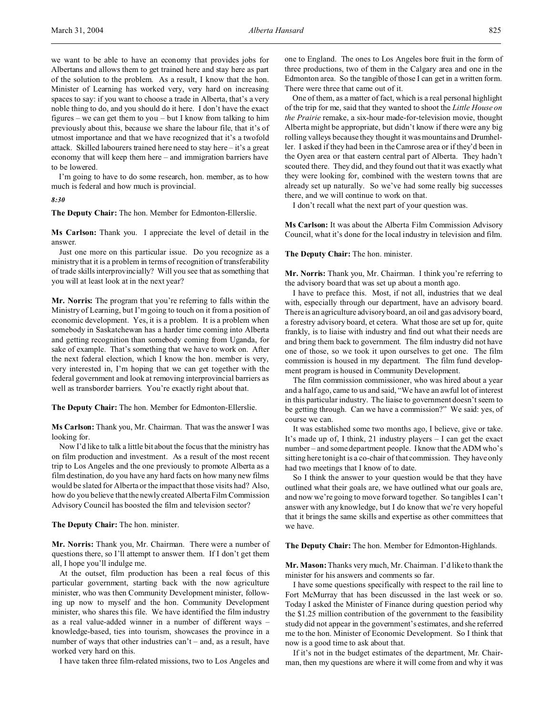we want to be able to have an economy that provides jobs for Albertans and allows them to get trained here and stay here as part of the solution to the problem. As a result, I know that the hon. Minister of Learning has worked very, very hard on increasing spaces to say: if you want to choose a trade in Alberta, that's a very noble thing to do, and you should do it here. I don't have the exact figures – we can get them to you – but I know from talking to him previously about this, because we share the labour file, that it's of utmost importance and that we have recognized that it's a twofold attack. Skilled labourers trained here need to stay here – it's a great economy that will keep them here – and immigration barriers have to be lowered.

I'm going to have to do some research, hon. member, as to how much is federal and how much is provincial.

*8:30*

**The Deputy Chair:** The hon. Member for Edmonton-Ellerslie.

**Ms Carlson:** Thank you. I appreciate the level of detail in the answer.

Just one more on this particular issue. Do you recognize as a ministry that it is a problem in terms of recognition of transferability of trade skills interprovincially? Will you see that as something that you will at least look at in the next year?

**Mr. Norris:** The program that you're referring to falls within the Ministry of Learning, but I'm going to touch on it from a position of economic development. Yes, it is a problem. It is a problem when somebody in Saskatchewan has a harder time coming into Alberta and getting recognition than somebody coming from Uganda, for sake of example. That's something that we have to work on. After the next federal election, which I know the hon. member is very, very interested in, I'm hoping that we can get together with the federal government and look at removing interprovincial barriers as well as transborder barriers. You're exactly right about that.

**The Deputy Chair:** The hon. Member for Edmonton-Ellerslie.

**Ms Carlson:** Thank you, Mr. Chairman. That was the answer I was looking for.

Now I'd like to talk a little bit about the focus that the ministry has on film production and investment. As a result of the most recent trip to Los Angeles and the one previously to promote Alberta as a film destination, do you have any hard facts on how many new films would be slated for Alberta or the impact that those visits had? Also, how do you believe that the newly created Alberta Film Commission Advisory Council has boosted the film and television sector?

**The Deputy Chair:** The hon. minister.

**Mr. Norris:** Thank you, Mr. Chairman. There were a number of questions there, so I'll attempt to answer them. If I don't get them all, I hope you'll indulge me.

At the outset, film production has been a real focus of this particular government, starting back with the now agriculture minister, who was then Community Development minister, following up now to myself and the hon. Community Development minister, who shares this file. We have identified the film industry as a real value-added winner in a number of different ways – knowledge-based, ties into tourism, showcases the province in a number of ways that other industries can't – and, as a result, have worked very hard on this.

I have taken three film-related missions, two to Los Angeles and

one to England. The ones to Los Angeles bore fruit in the form of three productions, two of them in the Calgary area and one in the Edmonton area. So the tangible of those I can get in a written form. There were three that came out of it.

One of them, as a matter of fact, which is a real personal highlight of the trip for me, said that they wanted to shoot the *Little House on the Prairie* remake, a six-hour made-for-television movie, thought Alberta might be appropriate, but didn't know if there were any big rolling valleys because they thought it was mountains and Drumheller. I asked if they had been in the Camrose area or if they'd been in the Oyen area or that eastern central part of Alberta. They hadn't scouted there. They did, and they found out that it was exactly what they were looking for, combined with the western towns that are already set up naturally. So we've had some really big successes there, and we will continue to work on that.

I don't recall what the next part of your question was.

**Ms Carlson:** It was about the Alberta Film Commission Advisory Council, what it's done for the local industry in television and film.

**The Deputy Chair:** The hon. minister.

**Mr. Norris:** Thank you, Mr. Chairman. I think you're referring to the advisory board that was set up about a month ago.

I have to preface this. Most, if not all, industries that we deal with, especially through our department, have an advisory board. There is an agriculture advisory board, an oil and gas advisory board, a forestry advisory board, et cetera. What those are set up for, quite frankly, is to liaise with industry and find out what their needs are and bring them back to government. The film industry did not have one of those, so we took it upon ourselves to get one. The film commission is housed in my department. The film fund development program is housed in Community Development.

The film commission commissioner, who was hired about a year and a half ago, came to us and said, "We have an awful lot of interest in this particular industry. The liaise to government doesn't seem to be getting through. Can we have a commission?" We said: yes, of course we can.

It was established some two months ago, I believe, give or take. It's made up of, I think, 21 industry players – I can get the exact number – and some department people. I know that the ADM who's sitting here tonight is a co-chair of that commission. They have only had two meetings that I know of to date.

So I think the answer to your question would be that they have outlined what their goals are, we have outlined what our goals are, and now we're going to move forward together. So tangibles I can't answer with any knowledge, but I do know that we're very hopeful that it brings the same skills and expertise as other committees that we have.

**The Deputy Chair:** The hon. Member for Edmonton-Highlands.

**Mr. Mason:** Thanks very much, Mr. Chairman. I'd like to thank the minister for his answers and comments so far.

I have some questions specifically with respect to the rail line to Fort McMurray that has been discussed in the last week or so. Today I asked the Minister of Finance during question period why the \$1.25 million contribution of the government to the feasibility study did not appear in the government's estimates, and she referred me to the hon. Minister of Economic Development. So I think that now is a good time to ask about that.

If it's not in the budget estimates of the department, Mr. Chairman, then my questions are where it will come from and why it was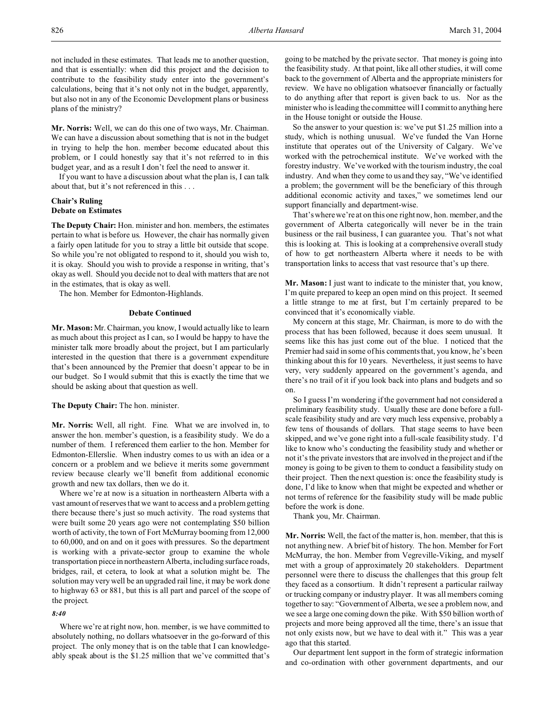not included in these estimates. That leads me to another question, and that is essentially: when did this project and the decision to contribute to the feasibility study enter into the government's calculations, being that it's not only not in the budget, apparently, but also not in any of the Economic Development plans or business plans of the ministry?

**Mr. Norris:** Well, we can do this one of two ways, Mr. Chairman. We can have a discussion about something that is not in the budget in trying to help the hon. member become educated about this problem, or I could honestly say that it's not referred to in this budget year, and as a result I don't feel the need to answer it.

If you want to have a discussion about what the plan is, I can talk about that, but it's not referenced in this . . .

# **Chair's Ruling Debate on Estimates**

**The Deputy Chair:** Hon. minister and hon. members, the estimates pertain to what is before us. However, the chair has normally given a fairly open latitude for you to stray a little bit outside that scope. So while you're not obligated to respond to it, should you wish to, it is okay. Should you wish to provide a response in writing, that's okay as well. Should you decide not to deal with matters that are not in the estimates, that is okay as well.

The hon. Member for Edmonton-Highlands.

# **Debate Continued**

**Mr. Mason:** Mr. Chairman, you know, I would actually like to learn as much about this project as I can, so I would be happy to have the minister talk more broadly about the project, but I am particularly interested in the question that there is a government expenditure that's been announced by the Premier that doesn't appear to be in our budget. So I would submit that this is exactly the time that we should be asking about that question as well.

**The Deputy Chair:** The hon. minister.

**Mr. Norris:** Well, all right. Fine. What we are involved in, to answer the hon. member's question, is a feasibility study. We do a number of them. I referenced them earlier to the hon. Member for Edmonton-Ellerslie. When industry comes to us with an idea or a concern or a problem and we believe it merits some government review because clearly we'll benefit from additional economic growth and new tax dollars, then we do it.

Where we're at now is a situation in northeastern Alberta with a vast amount of reserves that we want to access and a problem getting there because there's just so much activity. The road systems that were built some 20 years ago were not contemplating \$50 billion worth of activity, the town of Fort McMurray booming from 12,000 to 60,000, and on and on it goes with pressures. So the department is working with a private-sector group to examine the whole transportation piece in northeastern Alberta, including surface roads, bridges, rail, et cetera, to look at what a solution might be. The solution may very well be an upgraded rail line, it may be work done to highway 63 or 881, but this is all part and parcel of the scope of the project.

## *8:40*

Where we're at right now, hon. member, is we have committed to absolutely nothing, no dollars whatsoever in the go-forward of this project. The only money that is on the table that I can knowledgeably speak about is the \$1.25 million that we've committed that's going to be matched by the private sector. That money is going into the feasibility study. At that point, like all other studies, it will come back to the government of Alberta and the appropriate ministers for review. We have no obligation whatsoever financially or factually to do anything after that report is given back to us. Nor as the minister who is leading the committee will I commit to anything here in the House tonight or outside the House.

So the answer to your question is: we've put \$1.25 million into a study, which is nothing unusual. We've funded the Van Horne institute that operates out of the University of Calgary. We've worked with the petrochemical institute. We've worked with the forestry industry. We've worked with the tourism industry, the coal industry. And when they come to us and they say, "We've identified a problem; the government will be the beneficiary of this through additional economic activity and taxes," we sometimes lend our support financially and department-wise.

That's where we're at on this one right now, hon. member, and the government of Alberta categorically will never be in the train business or the rail business, I can guarantee you. That's not what this is looking at. This is looking at a comprehensive overall study of how to get northeastern Alberta where it needs to be with transportation links to access that vast resource that's up there.

**Mr. Mason:** I just want to indicate to the minister that, you know, I'm quite prepared to keep an open mind on this project. It seemed a little strange to me at first, but I'm certainly prepared to be convinced that it's economically viable.

My concern at this stage, Mr. Chairman, is more to do with the process that has been followed, because it does seem unusual. It seems like this has just come out of the blue. I noticed that the Premier had said in some of his comments that, you know, he's been thinking about this for 10 years. Nevertheless, it just seems to have very, very suddenly appeared on the government's agenda, and there's no trail of it if you look back into plans and budgets and so on.

So I guess I'm wondering if the government had not considered a preliminary feasibility study. Usually these are done before a fullscale feasibility study and are very much less expensive, probably a few tens of thousands of dollars. That stage seems to have been skipped, and we've gone right into a full-scale feasibility study. I'd like to know who's conducting the feasibility study and whether or not it's the private investors that are involved in the project and if the money is going to be given to them to conduct a feasibility study on their project. Then the next question is: once the feasibility study is done, I'd like to know when that might be expected and whether or not terms of reference for the feasibility study will be made public before the work is done.

Thank you, Mr. Chairman.

**Mr. Norris:** Well, the fact of the matter is, hon. member, that this is not anything new. A brief bit of history. The hon. Member for Fort McMurray, the hon. Member from Vegreville-Viking, and myself met with a group of approximately 20 stakeholders. Department personnel were there to discuss the challenges that this group felt they faced as a consortium. It didn't represent a particular railway or trucking company or industry player. It was all members coming together to say: "Government of Alberta, we see a problem now, and we see a large one coming down the pike. With \$50 billion worth of projects and more being approved all the time, there's an issue that not only exists now, but we have to deal with it." This was a year ago that this started.

Our department lent support in the form of strategic information and co-ordination with other government departments, and our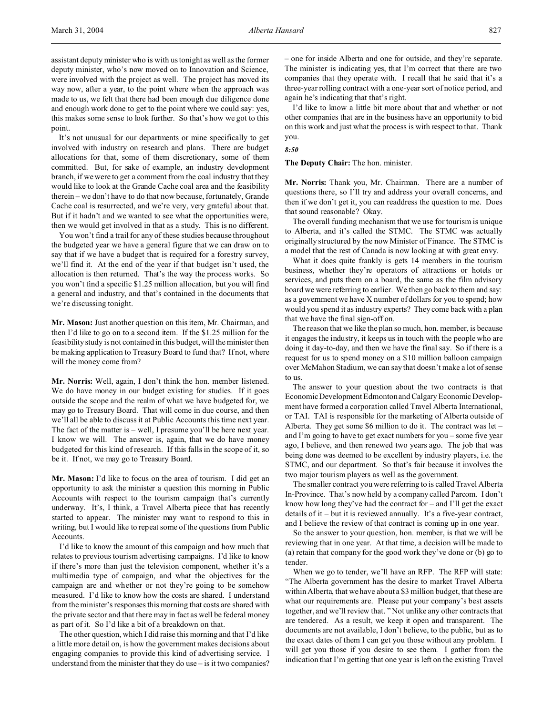assistant deputy minister who is with us tonight as well as the former deputy minister, who's now moved on to Innovation and Science, were involved with the project as well. The project has moved its way now, after a year, to the point where when the approach was made to us, we felt that there had been enough due diligence done and enough work done to get to the point where we could say: yes, this makes some sense to look further. So that's how we got to this point.

It's not unusual for our departments or mine specifically to get involved with industry on research and plans. There are budget allocations for that, some of them discretionary, some of them committed. But, for sake of example, an industry development branch, if we were to get a comment from the coal industry that they would like to look at the Grande Cache coal area and the feasibility therein – we don't have to do that now because, fortunately, Grande Cache coal is resurrected, and we're very, very grateful about that. But if it hadn't and we wanted to see what the opportunities were, then we would get involved in that as a study. This is no different.

You won't find a trail for any of these studies because throughout the budgeted year we have a general figure that we can draw on to say that if we have a budget that is required for a forestry survey, we'll find it. At the end of the year if that budget isn't used, the allocation is then returned. That's the way the process works. So you won't find a specific \$1.25 million allocation, but you will find a general and industry, and that's contained in the documents that we're discussing tonight.

**Mr. Mason:** Just another question on this item, Mr. Chairman, and then I'd like to go on to a second item. If the \$1.25 million for the feasibility study is not contained in this budget, will the minister then be making application to Treasury Board to fund that? If not, where will the money come from?

**Mr. Norris:** Well, again, I don't think the hon. member listened. We do have money in our budget existing for studies. If it goes outside the scope and the realm of what we have budgeted for, we may go to Treasury Board. That will come in due course, and then we'll all be able to discuss it at Public Accounts this time next year. The fact of the matter is – well, I presume you'll be here next year. I know we will. The answer is, again, that we do have money budgeted for this kind of research. If this falls in the scope of it, so be it. If not, we may go to Treasury Board.

**Mr. Mason:** I'd like to focus on the area of tourism. I did get an opportunity to ask the minister a question this morning in Public Accounts with respect to the tourism campaign that's currently underway. It's, I think, a Travel Alberta piece that has recently started to appear. The minister may want to respond to this in writing, but I would like to repeat some of the questions from Public Accounts.

I'd like to know the amount of this campaign and how much that relates to previous tourism advertising campaigns. I'd like to know if there's more than just the television component, whether it's a multimedia type of campaign, and what the objectives for the campaign are and whether or not they're going to be somehow measured. I'd like to know how the costs are shared. I understand from the minister's responses this morning that costs are shared with the private sector and that there may in fact as well be federal money as part of it. So I'd like a bit of a breakdown on that.

The other question, which I did raise this morning and that I'd like a little more detail on, is how the government makes decisions about engaging companies to provide this kind of advertising service. I understand from the minister that they do use – is it two companies?

– one for inside Alberta and one for outside, and they're separate. The minister is indicating yes, that I'm correct that there are two companies that they operate with. I recall that he said that it's a three-year rolling contract with a one-year sort of notice period, and again he's indicating that that's right.

I'd like to know a little bit more about that and whether or not other companies that are in the business have an opportunity to bid on this work and just what the process is with respect to that. Thank you.

*8:50*

**The Deputy Chair:** The hon. minister.

**Mr. Norris:** Thank you, Mr. Chairman. There are a number of questions there, so I'll try and address your overall concerns, and then if we don't get it, you can readdress the question to me. Does that sound reasonable? Okay.

The overall funding mechanism that we use for tourism is unique to Alberta, and it's called the STMC. The STMC was actually originally structured by the now Minister of Finance. The STMC is a model that the rest of Canada is now looking at with great envy.

What it does quite frankly is gets 14 members in the tourism business, whether they're operators of attractions or hotels or services, and puts them on a board, the same as the film advisory board we were referring to earlier. We then go back to them and say: as a government we have X number of dollars for you to spend; how would you spend it as industry experts? They come back with a plan that we have the final sign-off on.

The reason that we like the plan so much, hon. member, is because it engages the industry, it keeps us in touch with the people who are doing it day-to-day, and then we have the final say. So if there is a request for us to spend money on a \$10 million balloon campaign over McMahon Stadium, we can say that doesn't make a lot of sense to us.

The answer to your question about the two contracts is that Economic Development Edmonton and Calgary Economic Development have formed a corporation called Travel Alberta International, or TAI. TAI is responsible for the marketing of Alberta outside of Alberta. They get some \$6 million to do it. The contract was let – and I'm going to have to get exact numbers for you – some five year ago, I believe, and then renewed two years ago. The job that was being done was deemed to be excellent by industry players, i.e. the STMC, and our department. So that's fair because it involves the two major tourism players as well as the government.

The smaller contract you were referring to is called Travel Alberta In-Province. That's now held by a company called Parcom. I don't know how long they've had the contract for – and I'll get the exact details of it – but it is reviewed annually. It's a five-year contract, and I believe the review of that contract is coming up in one year.

So the answer to your question, hon. member, is that we will be reviewing that in one year. At that time, a decision will be made to (a) retain that company for the good work they've done or (b) go to tender.

When we go to tender, we'll have an RFP. The RFP will state: "The Alberta government has the desire to market Travel Alberta within Alberta, that we have about a \$3 million budget, that these are what our requirements are. Please put your company's best assets together, and we'll review that. " Not unlike any other contracts that are tendered. As a result, we keep it open and transparent. The documents are not available, I don't believe, to the public, but as to the exact dates of them I can get you those without any problem. I will get you those if you desire to see them. I gather from the indication that I'm getting that one year is left on the existing Travel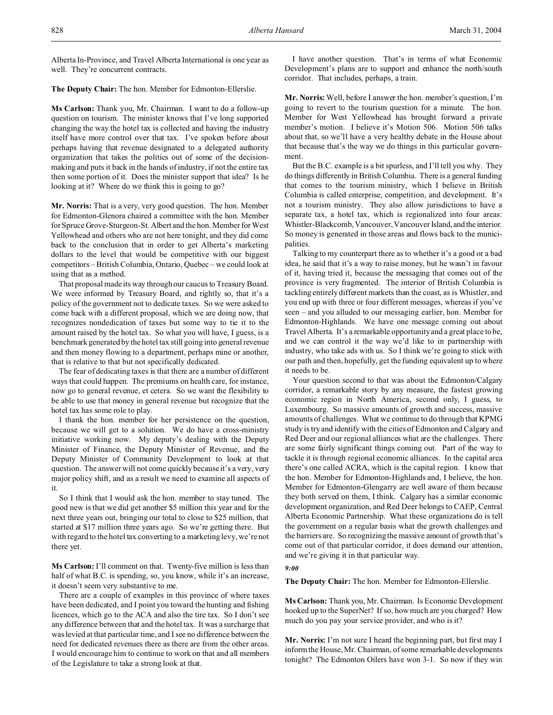Alberta In-Province, and Travel Alberta International is one year as well. They're concurrent contracts.

**The Deputy Chair:** The hon. Member for Edmonton-Ellerslie.

**Ms Carlson:** Thank you, Mr. Chairman. I want to do a follow-up question on tourism. The minister knows that I've long supported changing the way the hotel tax is collected and having the industry itself have more control over that tax. I've spoken before about perhaps having that revenue designated to a delegated authority organization that takes the politics out of some of the decisionmaking and puts it back in the hands of industry, if not the entire tax then some portion of it. Does the minister support that idea? Is he looking at it? Where do we think this is going to go?

**Mr. Norris:** That is a very, very good question. The hon. Member for Edmonton-Glenora chaired a committee with the hon. Member for Spruce Grove-Sturgeon-St. Albert and the hon. Member for West Yellowhead and others who are not here tonight, and they did come back to the conclusion that in order to get Alberta's marketing dollars to the level that would be competitive with our biggest competitors – British Columbia, Ontario, Quebec – we could look at using that as a method.

That proposal made its way through our caucus to Treasury Board. We were informed by Treasury Board, and rightly so, that it's a policy of the government not to dedicate taxes. So we were asked to come back with a different proposal, which we are doing now, that recognizes nondedication of taxes but some way to tie it to the amount raised by the hotel tax. So what you will have, I guess, is a benchmark generated by the hotel tax still going into general revenue and then money flowing to a department, perhaps mine or another, that is relative to that but not specifically dedicated.

The fear of dedicating taxes is that there are a number of different ways that could happen. The premiums on health care, for instance, now go to general revenue, et cetera. So we want the flexibility to be able to use that money in general revenue but recognize that the hotel tax has some role to play.

I thank the hon. member for her persistence on the question, because we will get to a solution. We do have a cross-ministry initiative working now. My deputy's dealing with the Deputy Minister of Finance, the Deputy Minister of Revenue, and the Deputy Minister of Community Development to look at that question. The answer will not come quickly because it's a very, very major policy shift, and as a result we need to examine all aspects of it.

So I think that I would ask the hon. member to stay tuned. The good new is that we did get another \$5 million this year and for the next three years out, bringing our total to close to \$25 million, that started at \$17 million three years ago. So we're getting there. But with regard to the hotel tax converting to a marketing levy, we're not there yet.

**Ms Carlson:** I'll comment on that. Twenty-five million is less than half of what B.C. is spending, so, you know, while it's an increase, it doesn't seem very substantive to me.

There are a couple of examples in this province of where taxes have been dedicated, and I point you toward the hunting and fishing licences, which go to the ACA and also the tire tax. So I don't see any difference between that and the hotel tax. It was a surcharge that was levied at that particular time, and I see no difference between the need for dedicated revenues there as there are from the other areas. I would encourage him to continue to work on that and all members of the Legislature to take a strong look at that.

I have another question. That's in terms of what Economic Development's plans are to support and enhance the north/south corridor. That includes, perhaps, a train.

**Mr. Norris:** Well, before I answer the hon. member's question, I'm going to revert to the tourism question for a minute. The hon. Member for West Yellowhead has brought forward a private member's motion. I believe it's Motion 506. Motion 506 talks about that, so we'll have a very healthy debate in the House about that because that's the way we do things in this particular government.

But the B.C. example is a bit spurless, and I'll tell you why. They do things differently in British Columbia. There is a general funding that comes to the tourism ministry, which I believe in British Columbia is called enterprise, competition, and development. It's not a tourism ministry. They also allow jurisdictions to have a separate tax, a hotel tax, which is regionalized into four areas: Whistler-Blackcomb, Vancouver, Vancouver Island, and the interior. So money is generated in those areas and flows back to the municipalities.

Talking to my counterpart there as to whether it's a good or a bad idea, he said that it's a way to raise money, but he wasn't in favour of it, having tried it, because the messaging that comes out of the province is very fragmented. The interior of British Columbia is tackling entirely different markets than the coast, as is Whistler, and you end up with three or four different messages, whereas if you've seen – and you alluded to our messaging earlier, hon. Member for Edmonton-Highlands. We have one message coming out about Travel Alberta. It's a remarkable opportunity and a great place to be, and we can control it the way we'd like to in partnership with industry, who take ads with us. So I think we're going to stick with our path and then, hopefully, get the funding equivalent up to where it needs to be.

Your question second to that was about the Edmonton/Calgary corridor, a remarkable story by any measure, the fastest growing economic region in North America, second only, I guess, to Luxembourg. So massive amounts of growth and success, massive amounts of challenges. What we continue to do through that KPMG study is try and identify with the cities of Edmonton and Calgary and Red Deer and our regional alliances what are the challenges. There are some fairly significant things coming out. Part of the way to tackle it is through regional economic alliances. In the capital area there's one called ACRA, which is the capital region. I know that the hon. Member for Edmonton-Highlands and, I believe, the hon. Member for Edmonton-Glengarry are well aware of them because they both served on them, I think. Calgary has a similar economic development organization, and Red Deer belongs to CAEP, Central Alberta Economic Partnership. What these organizations do is tell the government on a regular basis what the growth challenges and the barriers are. So recognizing the massive amount of growth that's come out of that particular corridor, it does demand our attention, and we're giving it in that particular way.

#### *9:00*

**The Deputy Chair:** The hon. Member for Edmonton-Ellerslie.

**Ms Carlson:** Thank you, Mr. Chairman. Is Economic Development hooked up to the SuperNet? If so, how much are you charged? How much do you pay your service provider, and who is it?

**Mr. Norris:** I'm not sure I heard the beginning part, but first may I inform the House, Mr. Chairman, of some remarkable developments tonight? The Edmonton Oilers have won 3-1. So now if they win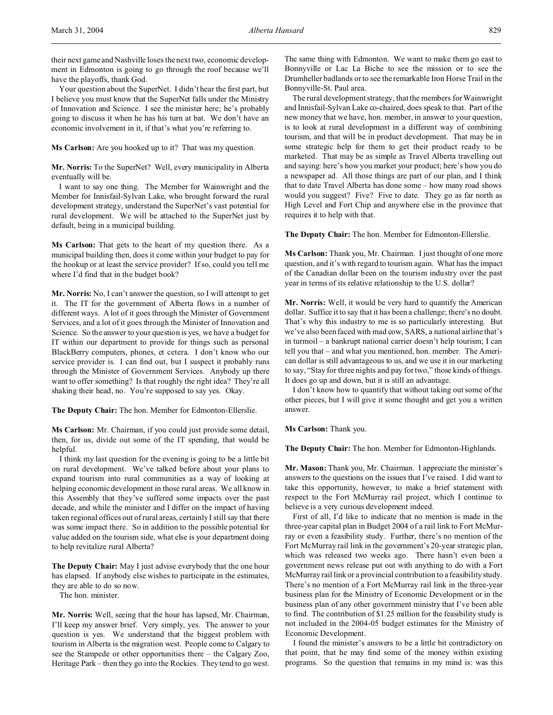their next game and Nashville loses the next two, economic development in Edmonton is going to go through the roof because we'll have the playoffs, thank God.

Your question about the SuperNet. I didn't hear the first part, but I believe you must know that the SuperNet falls under the Ministry of Innovation and Science. I see the minister here; he's probably going to discuss it when he has his turn at bat. We don't have an economic involvement in it, if that's what you're referring to.

**Ms Carlson:** Are you hooked up to it? That was my question.

**Mr. Norris:** To the SuperNet? Well, every municipality in Alberta eventually will be.

I want to say one thing. The Member for Wainwright and the Member for Innisfail-Sylvan Lake, who brought forward the rural development strategy, understand the SuperNet's vast potential for rural development. We will be attached to the SuperNet just by default, being in a municipal building.

**Ms Carlson:** That gets to the heart of my question there. As a municipal building then, does it come within your budget to pay for the hookup or at least the service provider? If so, could you tell me where I'd find that in the budget book?

**Mr. Norris:** No, I can't answer the question, so I will attempt to get it. The IT for the government of Alberta flows in a number of different ways. A lot of it goes through the Minister of Government Services, and a lot of it goes through the Minister of Innovation and Science. So the answer to your question is yes, we have a budget for IT within our department to provide for things such as personal BlackBerry computers, phones, et cetera. I don't know who our service provider is. I can find out, but I suspect it probably runs through the Minister of Government Services. Anybody up there want to offer something? Is that roughly the right idea? They're all shaking their head, no. You're supposed to say yes. Okay.

**The Deputy Chair:** The hon. Member for Edmonton-Ellerslie.

**Ms Carlson:** Mr. Chairman, if you could just provide some detail, then, for us, divide out some of the IT spending, that would be helpful.

I think my last question for the evening is going to be a little bit on rural development. We've talked before about your plans to expand tourism into rural communities as a way of looking at helping economic development in those rural areas. We all know in this Assembly that they've suffered some impacts over the past decade, and while the minister and I differ on the impact of having taken regional offices out of rural areas, certainly I still say that there was some impact there. So in addition to the possible potential for value added on the tourism side, what else is your department doing to help revitalize rural Alberta?

**The Deputy Chair:** May I just advise everybody that the one hour has elapsed. If anybody else wishes to participate in the estimates, they are able to do so now.

The hon. minister.

**Mr. Norris:** Well, seeing that the hour has lapsed, Mr. Chairman, I'll keep my answer brief. Very simply, yes. The answer to your question is yes. We understand that the biggest problem with tourism in Alberta is the migration west. People come to Calgary to see the Stampede or other opportunities there – the Calgary Zoo, Heritage Park – then they go into the Rockies. They tend to go west.

The same thing with Edmonton. We want to make them go east to Bonnyville or Lac La Biche to see the mission or to see the Drumheller badlands or to see the remarkable Iron Horse Trail in the Bonnyville-St. Paul area.

The rural development strategy, that the members for Wainwright and Innisfail-Sylvan Lake co-chaired, does speak to that. Part of the new money that we have, hon. member, in answer to your question, is to look at rural development in a different way of combining tourism, and that will be in product development. That may be in some strategic help for them to get their product ready to be marketed. That may be as simple as Travel Alberta travelling out and saying: here's how you market your product; here's how you do a newspaper ad. All those things are part of our plan, and I think that to date Travel Alberta has done some – how many road shows would you suggest? Five? Five to date. They go as far north as High Level and Fort Chip and anywhere else in the province that requires it to help with that.

**The Deputy Chair:** The hon. Member for Edmonton-Ellerslie.

**Ms Carlson:** Thank you, Mr. Chairman. I just thought of one more question, and it's with regard to tourism again. What has the impact of the Canadian dollar been on the tourism industry over the past year in terms of its relative relationship to the U.S. dollar?

**Mr. Norris:** Well, it would be very hard to quantify the American dollar. Suffice it to say that it has been a challenge; there's no doubt. That's why this industry to me is so particularly interesting. But we've also been faced with mad cow, SARS, a national airline that's in turmoil – a bankrupt national carrier doesn't help tourism; I can tell you that – and what you mentioned, hon. member. The American dollar is still advantageous to us, and we use it in our marketing to say, "Stay for three nights and pay for two," those kinds of things. It does go up and down, but it is still an advantage.

I don't know how to quantify that without taking out some of the other pieces, but I will give it some thought and get you a written answer.

**Ms Carlson:** Thank you.

**The Deputy Chair:** The hon. Member for Edmonton-Highlands.

**Mr. Mason:** Thank you, Mr. Chairman. I appreciate the minister's answers to the questions on the issues that I've raised. I did want to take this opportunity, however, to make a brief statement with respect to the Fort McMurray rail project, which I continue to believe is a very curious development indeed.

First of all, I'd like to indicate that no mention is made in the three-year capital plan in Budget 2004 of a rail link to Fort McMurray or even a feasibility study. Further, there's no mention of the Fort McMurray rail link in the government's 20-year strategic plan, which was released two weeks ago. There hasn't even been a government news release put out with anything to do with a Fort McMurray rail link or a provincial contribution to a feasibility study. There's no mention of a Fort McMurray rail link in the three-year business plan for the Ministry of Economic Development or in the business plan of any other government ministry that I've been able to find. The contribution of \$1.25 million for the feasibility study is not included in the 2004-05 budget estimates for the Ministry of Economic Development.

I found the minister's answers to be a little bit contradictory on that point, that he may find some of the money within existing programs. So the question that remains in my mind is: was this